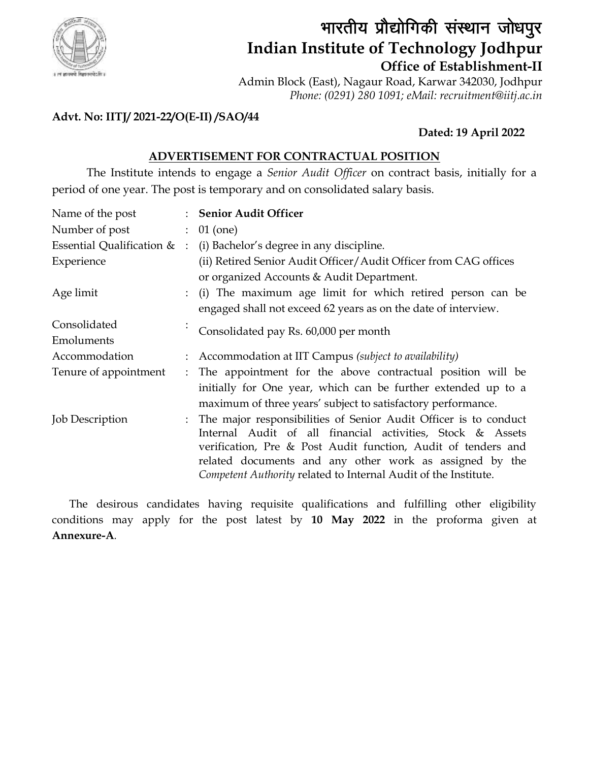

# भारतीय प्रौद्योगिकी संस्थान जोधपुर **Indian Institute of Technology Jodhpur Office of Establishment-II**

Admin Block (East), Nagaur Road, Karwar 342030, Jodhpur *Phone: (0291) 280 1091; eMail: recruitment@iitj.ac.in*

## **Advt. No: IITJ/ 2021-22/O(E-II) /SAO/44**

# **Dated: 19 April 2022**

## **ADVERTISEMENT FOR CONTRACTUAL POSITION**

The Institute intends to engage a *Senior Audit Officer* on contract basis, initially for a period of one year. The post is temporary and on consolidated salary basis.

| Name of the post            |                                                                  | : Senior Audit Officer                                           |  |  |  |
|-----------------------------|------------------------------------------------------------------|------------------------------------------------------------------|--|--|--|
| Number of post              |                                                                  | $01$ (one)                                                       |  |  |  |
| Essential Qualification & : |                                                                  | (i) Bachelor's degree in any discipline.                         |  |  |  |
| Experience                  | (ii) Retired Senior Audit Officer/Audit Officer from CAG offices |                                                                  |  |  |  |
|                             |                                                                  | or organized Accounts & Audit Department.                        |  |  |  |
| Age limit                   |                                                                  | (i) The maximum age limit for which retired person can be        |  |  |  |
|                             |                                                                  | engaged shall not exceed 62 years as on the date of interview.   |  |  |  |
| Consolidated                |                                                                  | Consolidated pay Rs. 60,000 per month                            |  |  |  |
| Emoluments                  |                                                                  |                                                                  |  |  |  |
| Accommodation               |                                                                  | : Accommodation at IIT Campus (subject to availability)          |  |  |  |
| Tenure of appointment       |                                                                  | : The appointment for the above contractual position will be     |  |  |  |
|                             |                                                                  | initially for One year, which can be further extended up to a    |  |  |  |
|                             |                                                                  | maximum of three years' subject to satisfactory performance.     |  |  |  |
| <b>Job Description</b>      |                                                                  | The major responsibilities of Senior Audit Officer is to conduct |  |  |  |
|                             |                                                                  | Internal Audit of all financial activities, Stock & Assets       |  |  |  |
|                             |                                                                  | verification, Pre & Post Audit function, Audit of tenders and    |  |  |  |
|                             |                                                                  | related documents and any other work as assigned by the          |  |  |  |
|                             |                                                                  | Competent Authority related to Internal Audit of the Institute.  |  |  |  |

The desirous candidates having requisite qualifications and fulfilling other eligibility conditions may apply for the post latest by **10 May 2022** in the proforma given at **Annexure-A***.*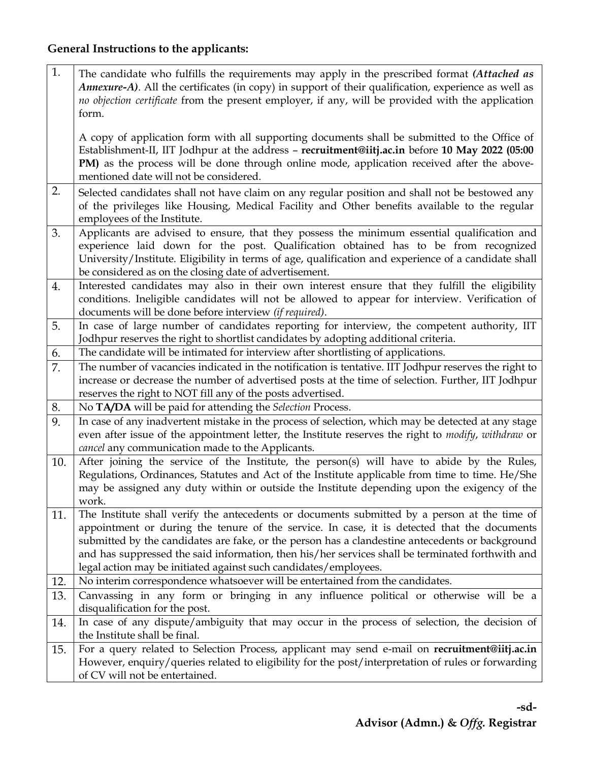### **General Instructions to the applicants:**

1. The candidate who fulfills the requirements may apply in the prescribed format *(Attached as Annexure-A)*. All the certificates (in copy) in support of their qualification, experience as well as *no objection certificate* from the present employer, if any, will be provided with the application form.

A copy of application form with all supporting documents shall be submitted to the Office of Establishment-II, IIT Jodhpur at the address – **[recruitment@iitj.ac.in](mailto:recruitment@iitj.ac.in)** before **10 May 2022 (05:00**  PM) as the process will be done through online mode, application received after the abovementioned date will not be considered.

- 2. Selected candidates shall not have claim on any regular position and shall not be bestowed any of the privileges like Housing, Medical Facility and Other benefits available to the regular employees of the Institute.
- 3. Applicants are advised to ensure, that they possess the minimum essential qualification and experience laid down for the post. Qualification obtained has to be from recognized University/Institute. Eligibility in terms of age, qualification and experience of a candidate shall be considered as on the closing date of advertisement.
- 4. Interested candidates may also in their own interest ensure that they fulfill the eligibility conditions. Ineligible candidates will not be allowed to appear for interview. Verification of documents will be done before interview *(if required)*.
- 5. In case of large number of candidates reporting for interview, the competent authority, IIT Jodhpur reserves the right to shortlist candidates by adopting additional criteria.
- 6. The candidate will be intimated for interview after shortlisting of applications.
- 7. The number of vacancies indicated in the notification is tentative. IIT Jodhpur reserves the right to increase or decrease the number of advertised posts at the time of selection. Further, IIT Jodhpur reserves the right to NOT fill any of the posts advertised.
- 8. No **TA/DA** will be paid for attending the *Selection* Process.
- 9. In case of any inadvertent mistake in the process of selection, which may be detected at any stage even after issue of the appointment letter, the Institute reserves the right to *modify*, *withdraw* or *cancel* any communication made to the Applicants.
- 10. After joining the service of the Institute, the person(s) will have to abide by the Rules, Regulations, Ordinances, Statutes and Act of the Institute applicable from time to time. He/She may be assigned any duty within or outside the Institute depending upon the exigency of the work.
- 11. The Institute shall verify the antecedents or documents submitted by a person at the time of appointment or during the tenure of the service. In case, it is detected that the documents submitted by the candidates are fake, or the person has a clandestine antecedents or background and has suppressed the said information, then his/her services shall be terminated forthwith and legal action may be initiated against such candidates/employees.
- 12. No interim correspondence whatsoever will be entertained from the candidates.
- 13. Canvassing in any form or bringing in any influence political or otherwise will be a disqualification for the post.
- 14. In case of any dispute/ambiguity that may occur in the process of selection, the decision of the Institute shall be final.
- 15. For a query related to Selection Process, applicant may send e-mail on **[recruitment@iitj.ac.in](mailto:recruitment@iitj.ac.in)** However, enquiry/queries related to eligibility for the post/interpretation of rules or forwarding of CV will not be entertained.